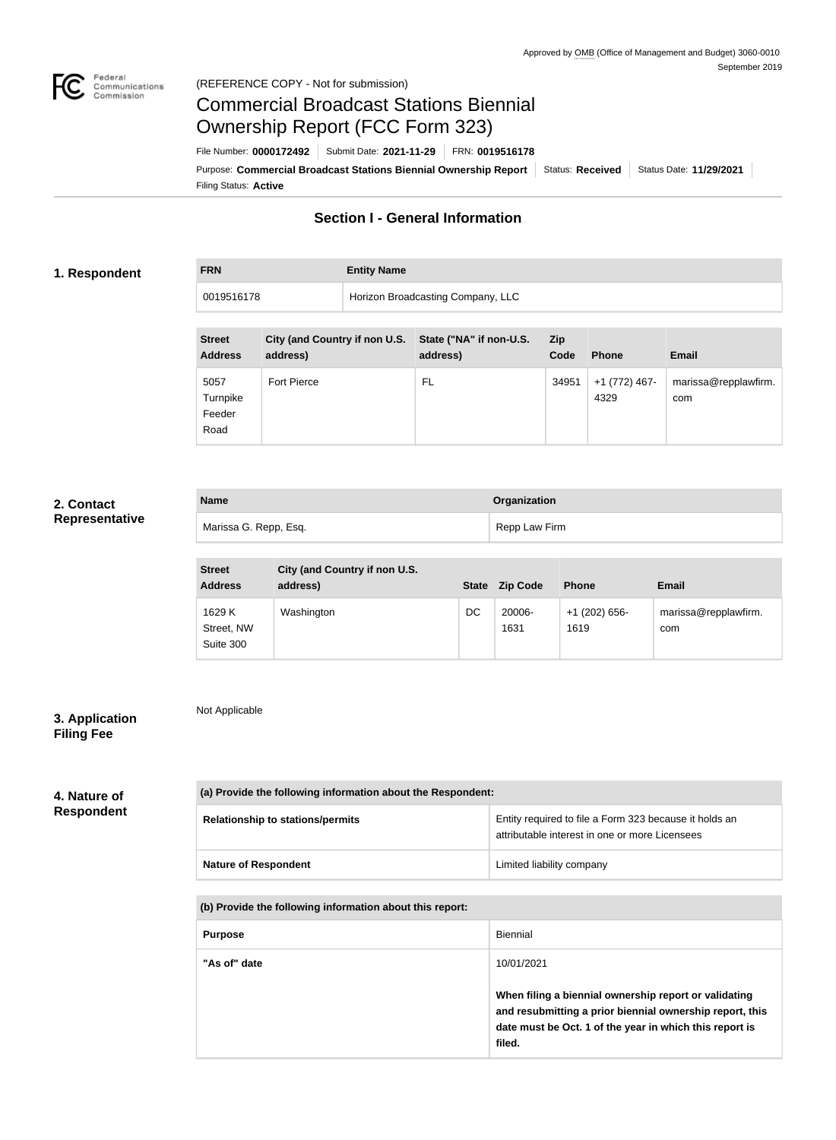

Not Applicable

Feeder Road

# Commercial Broadcast Stations Biennial Ownership Report (FCC Form 323)

Filing Status: **Active** Purpose: Commercial Broadcast Stations Biennial Ownership Report Status: Received | Status Date: 11/29/2021 File Number: **0000172492** Submit Date: **2021-11-29** FRN: **0019516178**

# **Section I - General Information**

# **1. Respondent**

**FRN Entity Name**

| Horizon Broadcasting Company, LLC<br>0019516178 |                    |  |                                                                   |                    |                       |                             |
|-------------------------------------------------|--------------------|--|-------------------------------------------------------------------|--------------------|-----------------------|-----------------------------|
| <b>Street</b><br><b>Address</b>                 | address)           |  | City (and Country if non U.S. State ("NA" if non-U.S.<br>address) | <b>Zip</b><br>Code | <b>Phone</b>          | <b>Email</b>                |
| 5057<br>Turnpike                                | <b>Fort Pierce</b> |  | FL                                                                | 34951              | +1 (772) 467-<br>4329 | marissa@repplawfirm.<br>com |

# **2. Contact Representative**

| <b>Name</b>           | Organization  |
|-----------------------|---------------|
| Marissa G. Repp, Esq. | Repp Law Firm |

| <b>Street</b><br><b>Address</b>   | City (and Country if non U.S.<br>address) | <b>State</b> | <b>Zip Code</b> | <b>Phone</b>            | <b>Email</b>                |
|-----------------------------------|-------------------------------------------|--------------|-----------------|-------------------------|-----------------------------|
| 1629 K<br>Street, NW<br>Suite 300 | Washington                                | DC           | 20006-<br>1631  | $+1$ (202) 656-<br>1619 | marissa@repplawfirm.<br>com |

# **3. Application Filing Fee**

# **4. Nature of Respondent**

| (a) Provide the following information about the Respondent: |                                                                                                          |  |  |
|-------------------------------------------------------------|----------------------------------------------------------------------------------------------------------|--|--|
| <b>Relationship to stations/permits</b>                     | Entity required to file a Form 323 because it holds an<br>attributable interest in one or more Licensees |  |  |
| <b>Nature of Respondent</b>                                 | Limited liability company                                                                                |  |  |

# **(b) Provide the following information about this report:**

| <b>Purpose</b> | Biennial                                                                                                                                                                               |
|----------------|----------------------------------------------------------------------------------------------------------------------------------------------------------------------------------------|
| "As of" date   | 10/01/2021                                                                                                                                                                             |
|                | When filing a biennial ownership report or validating<br>and resubmitting a prior biennial ownership report, this<br>date must be Oct. 1 of the year in which this report is<br>filed. |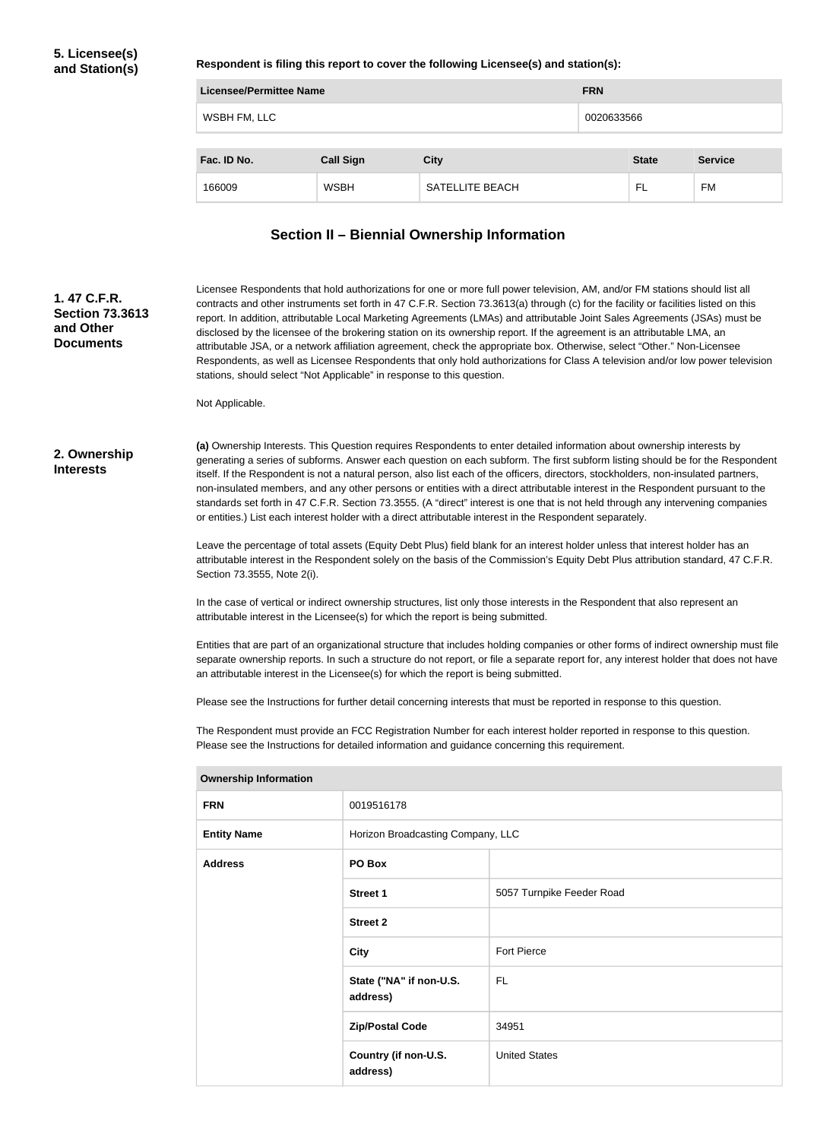## **Respondent is filing this report to cover the following Licensee(s) and station(s):**

| Licensee/Permittee Name |                  |                 |            |              |                |
|-------------------------|------------------|-----------------|------------|--------------|----------------|
| WSBH FM, LLC            |                  |                 | 0020633566 |              |                |
|                         |                  |                 |            |              |                |
| Fac. ID No.             | <b>Call Sign</b> | <b>City</b>     |            | <b>State</b> | <b>Service</b> |
| 166009                  | <b>WSBH</b>      | SATELLITE BEACH |            | FL           | FM             |

# **Section II – Biennial Ownership Information**

| 1.47 C.F.R.<br><b>Section 73.3613</b><br>and Other<br><b>Documents</b> | Licensee Respondents that hold authorizations for one or more full power television, AM, and/or FM stations should list all<br>contracts and other instruments set forth in 47 C.F.R. Section 73.3613(a) through (c) for the facility or facilities listed on this<br>report. In addition, attributable Local Marketing Agreements (LMAs) and attributable Joint Sales Agreements (JSAs) must be<br>disclosed by the licensee of the brokering station on its ownership report. If the agreement is an attributable LMA, an<br>attributable JSA, or a network affiliation agreement, check the appropriate box. Otherwise, select "Other." Non-Licensee<br>Respondents, as well as Licensee Respondents that only hold authorizations for Class A television and/or low power television<br>stations, should select "Not Applicable" in response to this question. |                                     |                                                                                                                                                                                                                                                                   |  |
|------------------------------------------------------------------------|--------------------------------------------------------------------------------------------------------------------------------------------------------------------------------------------------------------------------------------------------------------------------------------------------------------------------------------------------------------------------------------------------------------------------------------------------------------------------------------------------------------------------------------------------------------------------------------------------------------------------------------------------------------------------------------------------------------------------------------------------------------------------------------------------------------------------------------------------------------------|-------------------------------------|-------------------------------------------------------------------------------------------------------------------------------------------------------------------------------------------------------------------------------------------------------------------|--|
|                                                                        | Not Applicable.                                                                                                                                                                                                                                                                                                                                                                                                                                                                                                                                                                                                                                                                                                                                                                                                                                                    |                                     |                                                                                                                                                                                                                                                                   |  |
| 2. Ownership<br><b>Interests</b>                                       | (a) Ownership Interests. This Question requires Respondents to enter detailed information about ownership interests by<br>generating a series of subforms. Answer each question on each subform. The first subform listing should be for the Respondent<br>itself. If the Respondent is not a natural person, also list each of the officers, directors, stockholders, non-insulated partners,<br>non-insulated members, and any other persons or entities with a direct attributable interest in the Respondent pursuant to the<br>standards set forth in 47 C.F.R. Section 73.3555. (A "direct" interest is one that is not held through any intervening companies<br>or entities.) List each interest holder with a direct attributable interest in the Respondent separately.                                                                                  |                                     |                                                                                                                                                                                                                                                                   |  |
|                                                                        | Section 73.3555, Note 2(i).                                                                                                                                                                                                                                                                                                                                                                                                                                                                                                                                                                                                                                                                                                                                                                                                                                        |                                     | Leave the percentage of total assets (Equity Debt Plus) field blank for an interest holder unless that interest holder has an<br>attributable interest in the Respondent solely on the basis of the Commission's Equity Debt Plus attribution standard, 47 C.F.R. |  |
|                                                                        | In the case of vertical or indirect ownership structures, list only those interests in the Respondent that also represent an<br>attributable interest in the Licensee(s) for which the report is being submitted.                                                                                                                                                                                                                                                                                                                                                                                                                                                                                                                                                                                                                                                  |                                     |                                                                                                                                                                                                                                                                   |  |
|                                                                        | Entities that are part of an organizational structure that includes holding companies or other forms of indirect ownership must file<br>separate ownership reports. In such a structure do not report, or file a separate report for, any interest holder that does not have<br>an attributable interest in the Licensee(s) for which the report is being submitted.<br>Please see the Instructions for further detail concerning interests that must be reported in response to this question.<br>The Respondent must provide an FCC Registration Number for each interest holder reported in response to this question.<br>Please see the Instructions for detailed information and guidance concerning this requirement.                                                                                                                                        |                                     |                                                                                                                                                                                                                                                                   |  |
|                                                                        |                                                                                                                                                                                                                                                                                                                                                                                                                                                                                                                                                                                                                                                                                                                                                                                                                                                                    |                                     |                                                                                                                                                                                                                                                                   |  |
|                                                                        | <b>Ownership Information</b>                                                                                                                                                                                                                                                                                                                                                                                                                                                                                                                                                                                                                                                                                                                                                                                                                                       |                                     |                                                                                                                                                                                                                                                                   |  |
|                                                                        | 0019516178<br><b>FRN</b>                                                                                                                                                                                                                                                                                                                                                                                                                                                                                                                                                                                                                                                                                                                                                                                                                                           |                                     |                                                                                                                                                                                                                                                                   |  |
|                                                                        | <b>Entity Name</b>                                                                                                                                                                                                                                                                                                                                                                                                                                                                                                                                                                                                                                                                                                                                                                                                                                                 | Horizon Broadcasting Company, LLC   |                                                                                                                                                                                                                                                                   |  |
|                                                                        | <b>Address</b>                                                                                                                                                                                                                                                                                                                                                                                                                                                                                                                                                                                                                                                                                                                                                                                                                                                     | PO Box                              |                                                                                                                                                                                                                                                                   |  |
|                                                                        |                                                                                                                                                                                                                                                                                                                                                                                                                                                                                                                                                                                                                                                                                                                                                                                                                                                                    | <b>Street 1</b>                     | 5057 Turnpike Feeder Road                                                                                                                                                                                                                                         |  |
|                                                                        |                                                                                                                                                                                                                                                                                                                                                                                                                                                                                                                                                                                                                                                                                                                                                                                                                                                                    | <b>Street 2</b>                     |                                                                                                                                                                                                                                                                   |  |
|                                                                        |                                                                                                                                                                                                                                                                                                                                                                                                                                                                                                                                                                                                                                                                                                                                                                                                                                                                    | <b>City</b>                         | <b>Fort Pierce</b>                                                                                                                                                                                                                                                |  |
|                                                                        |                                                                                                                                                                                                                                                                                                                                                                                                                                                                                                                                                                                                                                                                                                                                                                                                                                                                    | State ("NA" if non-U.S.<br>address) | <b>FL</b>                                                                                                                                                                                                                                                         |  |
|                                                                        |                                                                                                                                                                                                                                                                                                                                                                                                                                                                                                                                                                                                                                                                                                                                                                                                                                                                    | <b>Zip/Postal Code</b>              | 34951                                                                                                                                                                                                                                                             |  |
|                                                                        |                                                                                                                                                                                                                                                                                                                                                                                                                                                                                                                                                                                                                                                                                                                                                                                                                                                                    | Country (if non-U.S.                | <b>United States</b>                                                                                                                                                                                                                                              |  |

**address)**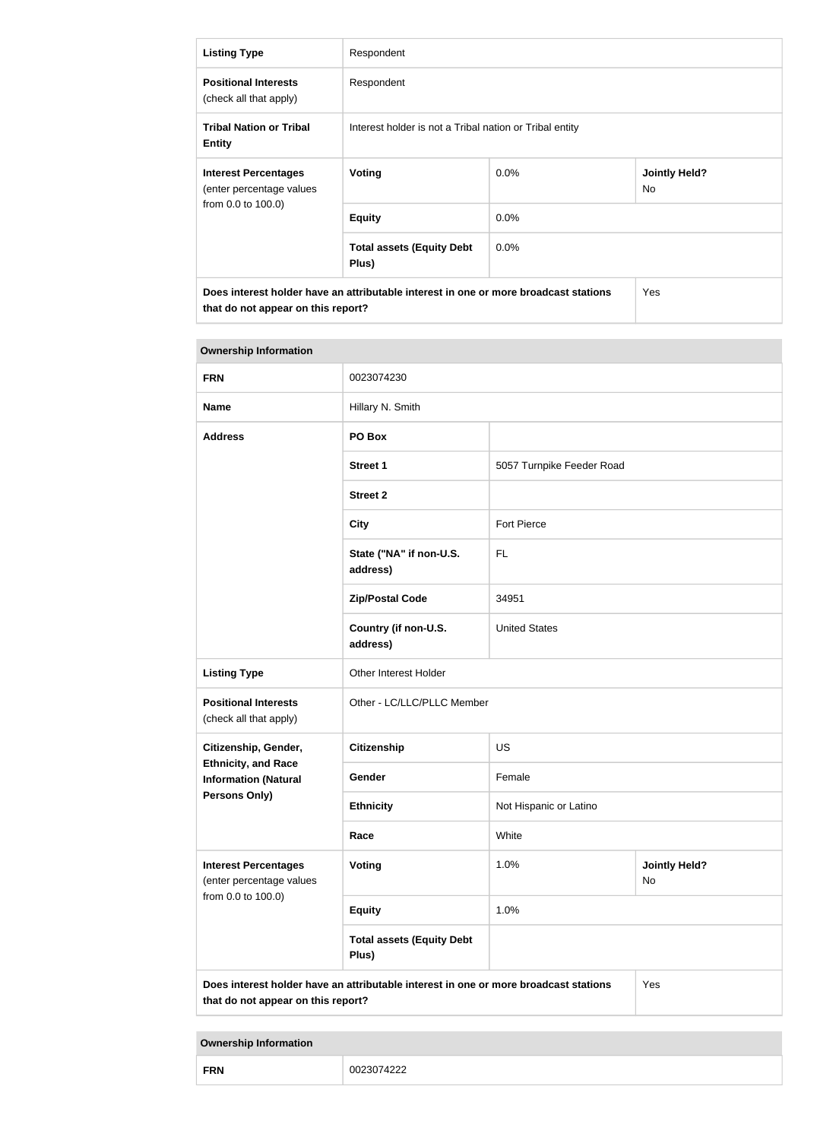| <b>Listing Type</b>                                                                                                               | Respondent                                              |         |                                   |  |
|-----------------------------------------------------------------------------------------------------------------------------------|---------------------------------------------------------|---------|-----------------------------------|--|
| <b>Positional Interests</b><br>(check all that apply)                                                                             | Respondent                                              |         |                                   |  |
| <b>Tribal Nation or Tribal</b><br><b>Entity</b>                                                                                   | Interest holder is not a Tribal nation or Tribal entity |         |                                   |  |
| <b>Interest Percentages</b><br>(enter percentage values                                                                           | Voting                                                  | $0.0\%$ | <b>Jointly Held?</b><br><b>No</b> |  |
| from 0.0 to 100.0)                                                                                                                | <b>Equity</b>                                           | $0.0\%$ |                                   |  |
|                                                                                                                                   | <b>Total assets (Equity Debt</b><br>Plus)               | $0.0\%$ |                                   |  |
| Does interest holder have an attributable interest in one or more broadcast stations<br>Yes<br>that do not appear on this report? |                                                         |         |                                   |  |

| <b>Ownership Information</b>                                                                                                      |                                           |                           |                            |  |
|-----------------------------------------------------------------------------------------------------------------------------------|-------------------------------------------|---------------------------|----------------------------|--|
| <b>FRN</b>                                                                                                                        | 0023074230                                |                           |                            |  |
| <b>Name</b>                                                                                                                       | Hillary N. Smith                          |                           |                            |  |
| <b>Address</b>                                                                                                                    | PO Box                                    |                           |                            |  |
|                                                                                                                                   | <b>Street 1</b>                           | 5057 Turnpike Feeder Road |                            |  |
|                                                                                                                                   | <b>Street 2</b>                           |                           |                            |  |
|                                                                                                                                   | <b>City</b>                               | <b>Fort Pierce</b>        |                            |  |
|                                                                                                                                   | State ("NA" if non-U.S.<br>address)       | <b>FL</b>                 |                            |  |
|                                                                                                                                   | <b>Zip/Postal Code</b>                    | 34951                     |                            |  |
|                                                                                                                                   | Country (if non-U.S.<br>address)          | <b>United States</b>      |                            |  |
| <b>Listing Type</b>                                                                                                               | Other Interest Holder                     |                           |                            |  |
| <b>Positional Interests</b><br>(check all that apply)                                                                             | Other - LC/LLC/PLLC Member                |                           |                            |  |
| Citizenship, Gender,                                                                                                              | Citizenship                               | <b>US</b>                 |                            |  |
| <b>Ethnicity, and Race</b><br><b>Information (Natural</b>                                                                         | Gender                                    | Female                    |                            |  |
| <b>Persons Only)</b>                                                                                                              | <b>Ethnicity</b>                          | Not Hispanic or Latino    |                            |  |
|                                                                                                                                   | Race                                      | White                     |                            |  |
| <b>Interest Percentages</b><br>(enter percentage values                                                                           | <b>Voting</b>                             | 1.0%                      | <b>Jointly Held?</b><br>No |  |
| from 0.0 to 100.0)                                                                                                                | <b>Equity</b>                             | 1.0%                      |                            |  |
|                                                                                                                                   | <b>Total assets (Equity Debt</b><br>Plus) |                           |                            |  |
| Does interest holder have an attributable interest in one or more broadcast stations<br>Yes<br>that do not appear on this report? |                                           |                           |                            |  |

п

| <b>FRN</b> | 0023074222 |
|------------|------------|
|------------|------------|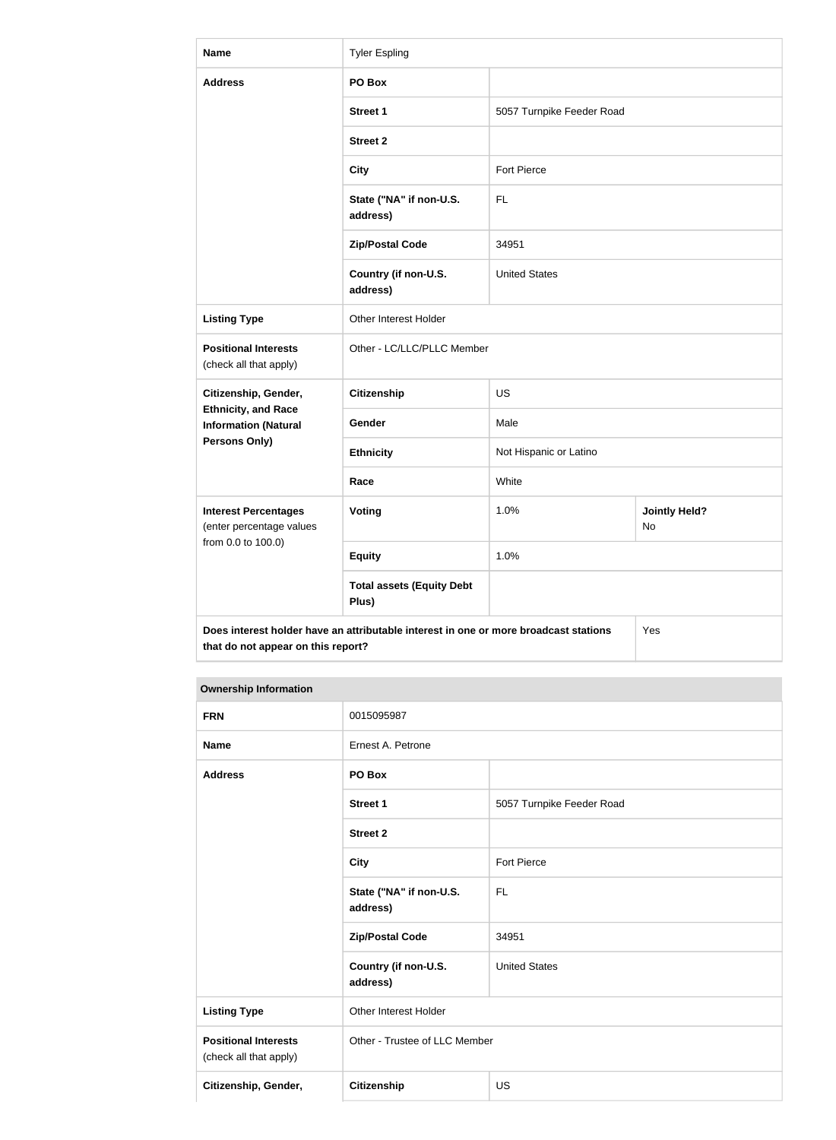| <b>Name</b>                                                                                                                       | <b>Tyler Espling</b>                      |                           |                            |  |
|-----------------------------------------------------------------------------------------------------------------------------------|-------------------------------------------|---------------------------|----------------------------|--|
| <b>Address</b>                                                                                                                    | PO Box                                    |                           |                            |  |
|                                                                                                                                   | <b>Street 1</b>                           | 5057 Turnpike Feeder Road |                            |  |
|                                                                                                                                   | <b>Street 2</b>                           |                           |                            |  |
|                                                                                                                                   | <b>City</b>                               | <b>Fort Pierce</b>        |                            |  |
|                                                                                                                                   | State ("NA" if non-U.S.<br>address)       | <b>FL</b>                 |                            |  |
|                                                                                                                                   | <b>Zip/Postal Code</b>                    | 34951                     |                            |  |
|                                                                                                                                   | Country (if non-U.S.<br>address)          | <b>United States</b>      |                            |  |
| <b>Listing Type</b>                                                                                                               | Other Interest Holder                     |                           |                            |  |
| <b>Positional Interests</b><br>(check all that apply)                                                                             | Other - LC/LLC/PLLC Member                |                           |                            |  |
| Citizenship, Gender,                                                                                                              | Citizenship                               | <b>US</b>                 |                            |  |
| <b>Ethnicity, and Race</b><br><b>Information (Natural</b>                                                                         | Gender                                    | Male                      |                            |  |
| <b>Persons Only)</b>                                                                                                              | <b>Ethnicity</b>                          | Not Hispanic or Latino    |                            |  |
|                                                                                                                                   | Race                                      | White                     |                            |  |
| <b>Interest Percentages</b><br>(enter percentage values                                                                           | <b>Voting</b>                             | 1.0%                      | <b>Jointly Held?</b><br>No |  |
| from 0.0 to 100.0)                                                                                                                | <b>Equity</b>                             | 1.0%                      |                            |  |
|                                                                                                                                   | <b>Total assets (Equity Debt</b><br>Plus) |                           |                            |  |
| Does interest holder have an attributable interest in one or more broadcast stations<br>Yes<br>that do not appear on this report? |                                           |                           |                            |  |

| <b>FRN</b>                                            | 0015095987                          |                           |  |
|-------------------------------------------------------|-------------------------------------|---------------------------|--|
| <b>Name</b>                                           | Ernest A. Petrone                   |                           |  |
| <b>Address</b>                                        | PO Box                              |                           |  |
|                                                       | <b>Street 1</b>                     | 5057 Turnpike Feeder Road |  |
|                                                       | <b>Street 2</b>                     |                           |  |
|                                                       | <b>City</b>                         | Fort Pierce               |  |
|                                                       | State ("NA" if non-U.S.<br>address) | <b>FL</b>                 |  |
|                                                       | <b>Zip/Postal Code</b>              | 34951                     |  |
|                                                       | Country (if non-U.S.<br>address)    | <b>United States</b>      |  |
| <b>Listing Type</b>                                   | Other Interest Holder               |                           |  |
| <b>Positional Interests</b><br>(check all that apply) | Other - Trustee of LLC Member       |                           |  |
| Citizenship, Gender,                                  | <b>Citizenship</b>                  | <b>US</b>                 |  |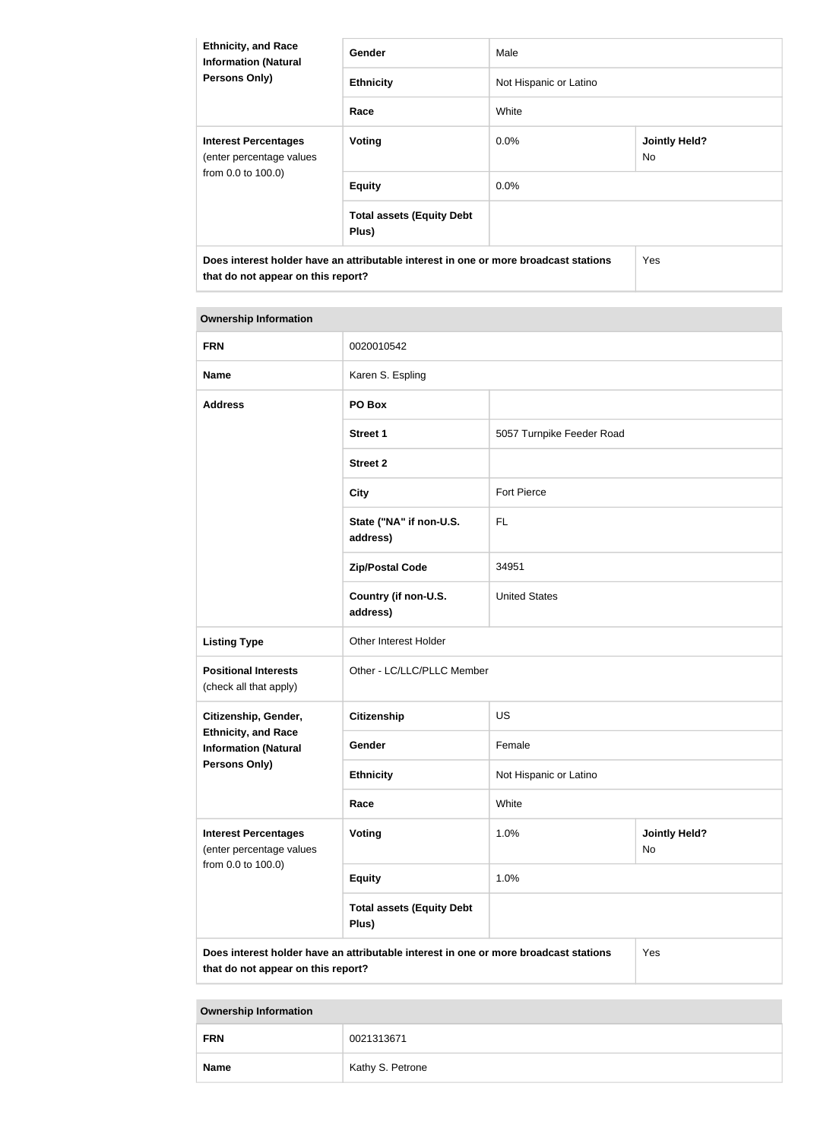| <b>Ethnicity, and Race</b><br><b>Information (Natural</b><br><b>Persons Only)</b>                                          | Gender                                    | Male                   |                             |
|----------------------------------------------------------------------------------------------------------------------------|-------------------------------------------|------------------------|-----------------------------|
|                                                                                                                            | <b>Ethnicity</b>                          | Not Hispanic or Latino |                             |
|                                                                                                                            | Race                                      | White                  |                             |
| <b>Interest Percentages</b><br>(enter percentage values<br>from 0.0 to 100.0)                                              | Voting                                    | $0.0\%$                | <b>Jointly Held?</b><br>No. |
|                                                                                                                            | <b>Equity</b>                             | $0.0\%$                |                             |
|                                                                                                                            | <b>Total assets (Equity Debt</b><br>Plus) |                        |                             |
| Does interest holder have an attributable interest in one or more broadcast stations<br>that do not appear on this report? |                                           |                        | Yes                         |

| <b>Ownership Information</b>                                                                                                      |                                            |                            |                            |  |
|-----------------------------------------------------------------------------------------------------------------------------------|--------------------------------------------|----------------------------|----------------------------|--|
| <b>FRN</b>                                                                                                                        | 0020010542                                 |                            |                            |  |
| <b>Name</b>                                                                                                                       | Karen S. Espling                           |                            |                            |  |
| <b>Address</b>                                                                                                                    | PO Box                                     |                            |                            |  |
|                                                                                                                                   | <b>Street 1</b>                            | 5057 Turnpike Feeder Road  |                            |  |
|                                                                                                                                   | <b>Street 2</b>                            |                            |                            |  |
|                                                                                                                                   | <b>City</b>                                | <b>Fort Pierce</b>         |                            |  |
|                                                                                                                                   | State ("NA" if non-U.S.<br>FL.<br>address) |                            |                            |  |
|                                                                                                                                   | <b>Zip/Postal Code</b>                     | 34951                      |                            |  |
|                                                                                                                                   | Country (if non-U.S.<br>address)           | <b>United States</b>       |                            |  |
| <b>Listing Type</b>                                                                                                               | Other Interest Holder                      |                            |                            |  |
| <b>Positional Interests</b><br>(check all that apply)                                                                             |                                            | Other - LC/LLC/PLLC Member |                            |  |
| Citizenship, Gender,                                                                                                              | <b>Citizenship</b>                         | <b>US</b>                  |                            |  |
| <b>Ethnicity, and Race</b><br><b>Information (Natural</b>                                                                         | Gender                                     | Female                     |                            |  |
| <b>Persons Only)</b>                                                                                                              | <b>Ethnicity</b>                           | Not Hispanic or Latino     |                            |  |
|                                                                                                                                   | Race                                       | White                      |                            |  |
| <b>Interest Percentages</b><br>(enter percentage values                                                                           | <b>Voting</b>                              | 1.0%                       | <b>Jointly Held?</b><br>No |  |
| from 0.0 to 100.0)                                                                                                                | <b>Equity</b>                              | 1.0%                       |                            |  |
|                                                                                                                                   | <b>Total assets (Equity Debt</b><br>Plus)  |                            |                            |  |
| Yes<br>Does interest holder have an attributable interest in one or more broadcast stations<br>that do not appear on this report? |                                            |                            |                            |  |

| <b>FRN</b>  | 0021313671       |
|-------------|------------------|
| <b>Name</b> | Kathy S. Petrone |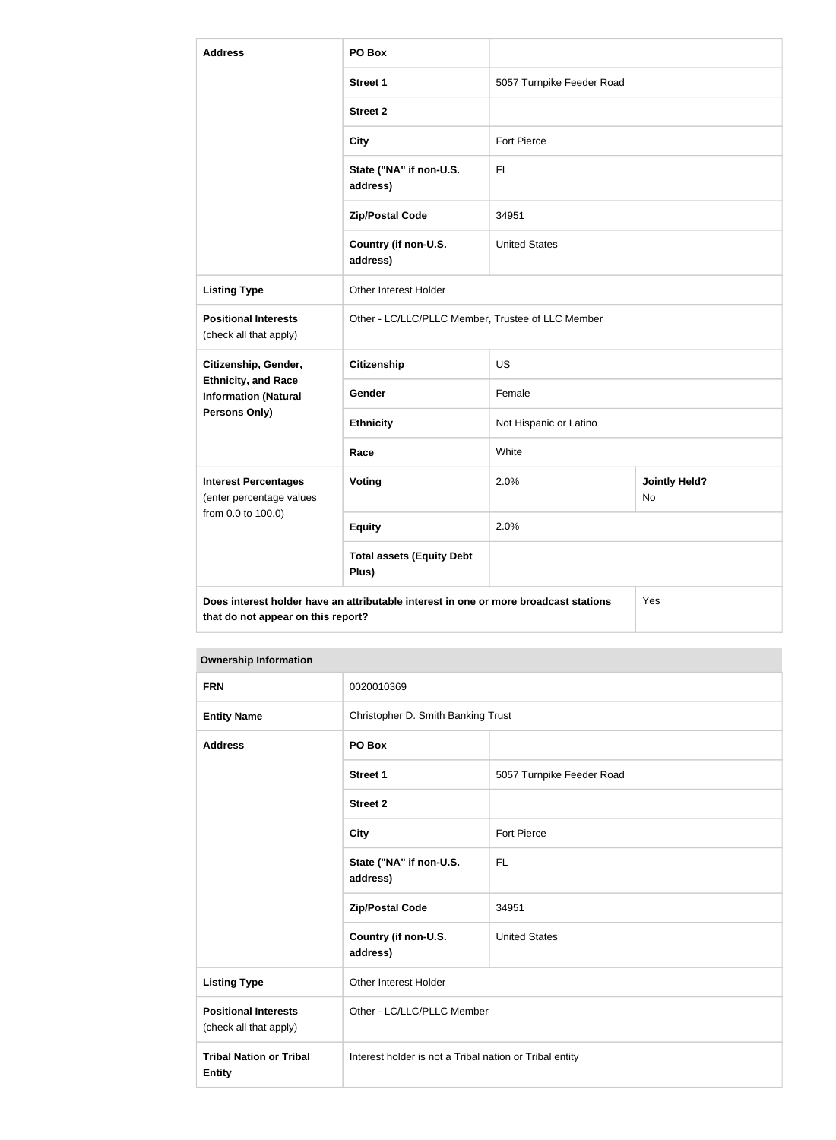| <b>Address</b>                                            | PO Box                                                                               |                           |                            |
|-----------------------------------------------------------|--------------------------------------------------------------------------------------|---------------------------|----------------------------|
|                                                           | <b>Street 1</b>                                                                      | 5057 Turnpike Feeder Road |                            |
|                                                           | <b>Street 2</b>                                                                      |                           |                            |
|                                                           | <b>City</b>                                                                          | <b>Fort Pierce</b>        |                            |
|                                                           | State ("NA" if non-U.S.<br>address)                                                  | <b>FL</b>                 |                            |
|                                                           | <b>Zip/Postal Code</b>                                                               | 34951                     |                            |
|                                                           | Country (if non-U.S.<br>address)                                                     | <b>United States</b>      |                            |
| <b>Listing Type</b>                                       | Other Interest Holder                                                                |                           |                            |
| <b>Positional Interests</b><br>(check all that apply)     | Other - LC/LLC/PLLC Member, Trustee of LLC Member                                    |                           |                            |
| Citizenship, Gender,                                      | <b>Citizenship</b>                                                                   | <b>US</b>                 |                            |
| <b>Ethnicity, and Race</b><br><b>Information (Natural</b> | Gender                                                                               | Female                    |                            |
| Persons Only)                                             | <b>Ethnicity</b>                                                                     | Not Hispanic or Latino    |                            |
|                                                           | Race                                                                                 | White                     |                            |
| <b>Interest Percentages</b><br>(enter percentage values   | Voting                                                                               | 2.0%                      | <b>Jointly Held?</b><br>No |
| from 0.0 to 100.0)                                        | <b>Equity</b>                                                                        | 2.0%                      |                            |
|                                                           | <b>Total assets (Equity Debt</b><br>Plus)                                            |                           |                            |
| that do not appear on this report?                        | Does interest holder have an attributable interest in one or more broadcast stations |                           | Yes                        |

| <b>FRN</b>                                            | 0020010369                                              |                           |
|-------------------------------------------------------|---------------------------------------------------------|---------------------------|
| <b>Entity Name</b>                                    | Christopher D. Smith Banking Trust                      |                           |
| <b>Address</b>                                        | PO Box                                                  |                           |
|                                                       | <b>Street 1</b>                                         | 5057 Turnpike Feeder Road |
|                                                       | <b>Street 2</b>                                         |                           |
|                                                       | <b>City</b>                                             | <b>Fort Pierce</b>        |
|                                                       | State ("NA" if non-U.S.<br>address)                     | <b>FL</b>                 |
|                                                       | <b>Zip/Postal Code</b>                                  | 34951                     |
|                                                       | Country (if non-U.S.<br>address)                        | <b>United States</b>      |
| <b>Listing Type</b>                                   | <b>Other Interest Holder</b>                            |                           |
| <b>Positional Interests</b><br>(check all that apply) | Other - LC/LLC/PLLC Member                              |                           |
| <b>Tribal Nation or Tribal</b><br><b>Entity</b>       | Interest holder is not a Tribal nation or Tribal entity |                           |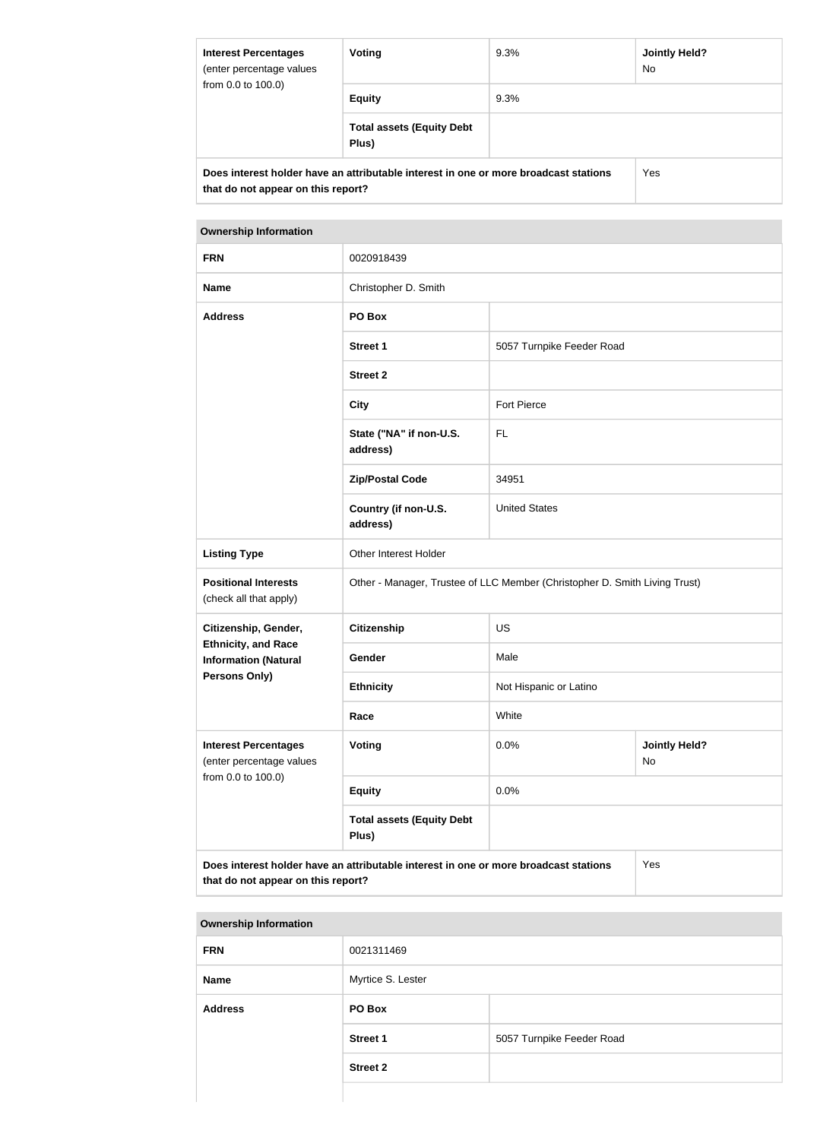| <b>Interest Percentages</b><br>(enter percentage values<br>from 0.0 to 100.0)                                              | Voting                                    | 9.3% | <b>Jointly Held?</b><br>No. |  |
|----------------------------------------------------------------------------------------------------------------------------|-------------------------------------------|------|-----------------------------|--|
|                                                                                                                            | <b>Equity</b>                             | 9.3% |                             |  |
|                                                                                                                            | <b>Total assets (Equity Debt</b><br>Plus) |      |                             |  |
| Does interest holder have an attributable interest in one or more broadcast stations<br>that do not appear on this report? | Yes                                       |      |                             |  |

| <b>FRN</b>                                                                                                                        | 0020918439                                                                 |                           |                            |
|-----------------------------------------------------------------------------------------------------------------------------------|----------------------------------------------------------------------------|---------------------------|----------------------------|
| <b>Name</b>                                                                                                                       | Christopher D. Smith                                                       |                           |                            |
| <b>Address</b>                                                                                                                    | PO Box                                                                     |                           |                            |
|                                                                                                                                   | <b>Street 1</b>                                                            | 5057 Turnpike Feeder Road |                            |
|                                                                                                                                   | <b>Street 2</b>                                                            |                           |                            |
|                                                                                                                                   | <b>City</b>                                                                | <b>Fort Pierce</b>        |                            |
|                                                                                                                                   | State ("NA" if non-U.S.<br>address)                                        | FL                        |                            |
|                                                                                                                                   | <b>Zip/Postal Code</b>                                                     | 34951                     |                            |
|                                                                                                                                   | Country (if non-U.S.<br>address)                                           | <b>United States</b>      |                            |
| <b>Listing Type</b>                                                                                                               | Other Interest Holder                                                      |                           |                            |
| <b>Positional Interests</b><br>(check all that apply)                                                                             | Other - Manager, Trustee of LLC Member (Christopher D. Smith Living Trust) |                           |                            |
| Citizenship, Gender,                                                                                                              | <b>Citizenship</b>                                                         | <b>US</b>                 |                            |
| <b>Ethnicity, and Race</b><br><b>Information (Natural</b>                                                                         | Gender                                                                     | Male                      |                            |
| <b>Persons Only)</b>                                                                                                              | <b>Ethnicity</b>                                                           | Not Hispanic or Latino    |                            |
|                                                                                                                                   | Race                                                                       | White                     |                            |
| <b>Interest Percentages</b><br>(enter percentage values                                                                           | <b>Voting</b>                                                              | 0.0%                      | <b>Jointly Held?</b><br>No |
| from 0.0 to 100.0)                                                                                                                | <b>Equity</b>                                                              | 0.0%                      |                            |
|                                                                                                                                   | <b>Total assets (Equity Debt</b><br>Plus)                                  |                           |                            |
| Does interest holder have an attributable interest in one or more broadcast stations<br>Yes<br>that do not appear on this report? |                                                                            |                           |                            |

| <b>Ownership Information</b> |                   |                           |  |  |
|------------------------------|-------------------|---------------------------|--|--|
| <b>FRN</b>                   | 0021311469        |                           |  |  |
| <b>Name</b>                  | Myrtice S. Lester |                           |  |  |
| <b>Address</b>               | PO Box            |                           |  |  |
|                              | <b>Street 1</b>   | 5057 Turnpike Feeder Road |  |  |
|                              | <b>Street 2</b>   |                           |  |  |
|                              |                   |                           |  |  |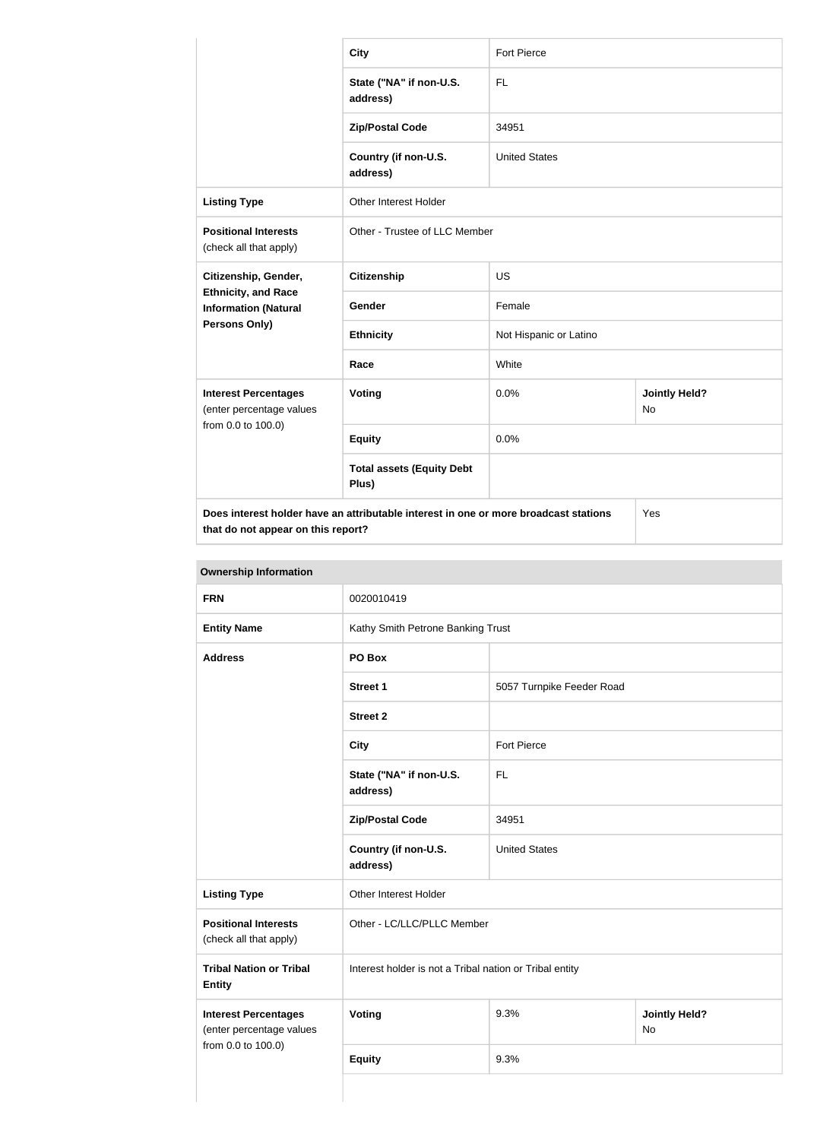|                                                                                   | <b>City</b>                                                                                                                | <b>Fort Pierce</b>     |                                   |
|-----------------------------------------------------------------------------------|----------------------------------------------------------------------------------------------------------------------------|------------------------|-----------------------------------|
|                                                                                   | State ("NA" if non-U.S.<br>address)                                                                                        | <b>FL</b>              |                                   |
|                                                                                   | <b>Zip/Postal Code</b>                                                                                                     | 34951                  |                                   |
|                                                                                   | Country (if non-U.S.<br>address)                                                                                           | <b>United States</b>   |                                   |
| <b>Listing Type</b>                                                               | <b>Other Interest Holder</b>                                                                                               |                        |                                   |
| <b>Positional Interests</b><br>(check all that apply)                             | Other - Trustee of LLC Member                                                                                              |                        |                                   |
| Citizenship, Gender,<br><b>Ethnicity, and Race</b><br><b>Information (Natural</b> | <b>Citizenship</b>                                                                                                         | <b>US</b>              |                                   |
|                                                                                   | Gender                                                                                                                     | Female                 |                                   |
| <b>Persons Only)</b>                                                              | <b>Ethnicity</b>                                                                                                           | Not Hispanic or Latino |                                   |
|                                                                                   | Race                                                                                                                       | White                  |                                   |
| <b>Interest Percentages</b><br>(enter percentage values                           | Voting                                                                                                                     | 0.0%                   | <b>Jointly Held?</b><br><b>No</b> |
| from 0.0 to 100.0)                                                                | <b>Equity</b>                                                                                                              | 0.0%                   |                                   |
|                                                                                   | <b>Total assets (Equity Debt</b><br>Plus)                                                                                  |                        |                                   |
|                                                                                   | Does interest holder have an attributable interest in one or more broadcast stations<br>that do not appear on this report? |                        | Yes                               |

| <b>FRN</b>                                              | 0020010419                                              |                           |                                   |
|---------------------------------------------------------|---------------------------------------------------------|---------------------------|-----------------------------------|
| <b>Entity Name</b>                                      | Kathy Smith Petrone Banking Trust                       |                           |                                   |
| <b>Address</b>                                          | PO Box                                                  |                           |                                   |
|                                                         | <b>Street 1</b>                                         | 5057 Turnpike Feeder Road |                                   |
|                                                         | <b>Street 2</b>                                         |                           |                                   |
|                                                         | <b>City</b>                                             | Fort Pierce               |                                   |
|                                                         | State ("NA" if non-U.S.<br>address)                     | <b>FL</b>                 |                                   |
|                                                         | <b>Zip/Postal Code</b>                                  | 34951                     |                                   |
|                                                         | Country (if non-U.S.<br>address)                        | <b>United States</b>      |                                   |
| <b>Listing Type</b>                                     | Other Interest Holder                                   |                           |                                   |
| <b>Positional Interests</b><br>(check all that apply)   | Other - LC/LLC/PLLC Member                              |                           |                                   |
| <b>Tribal Nation or Tribal</b><br><b>Entity</b>         | Interest holder is not a Tribal nation or Tribal entity |                           |                                   |
| <b>Interest Percentages</b><br>(enter percentage values | <b>Voting</b>                                           | 9.3%                      | <b>Jointly Held?</b><br><b>No</b> |
| from 0.0 to 100.0)                                      | <b>Equity</b>                                           | 9.3%                      |                                   |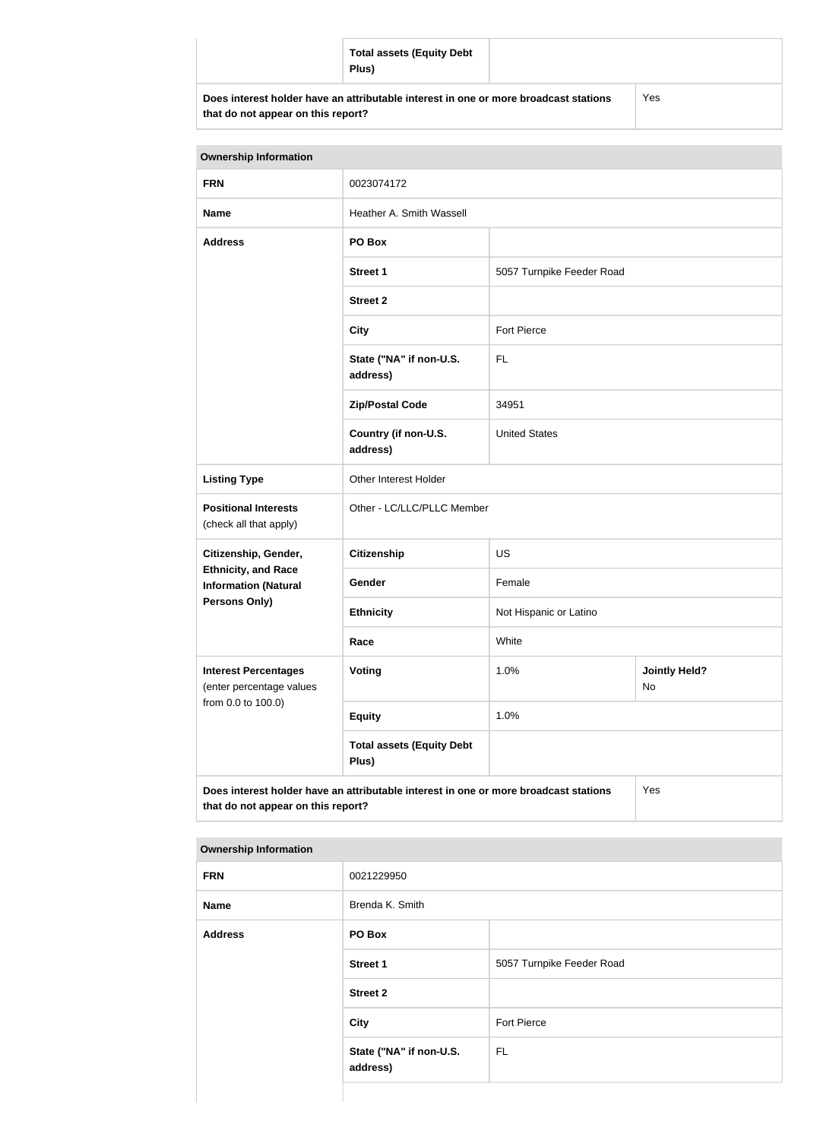| <b>Total assets (Equity Debt</b><br>Plus)                                            |     |
|--------------------------------------------------------------------------------------|-----|
| Does interest holder have an attributable interest in one or more broadcast stations | Yes |

**that do not appear on this report?**

| <b>Ownership Information</b>                                                                                                      |                                           |                            |                                   |  |
|-----------------------------------------------------------------------------------------------------------------------------------|-------------------------------------------|----------------------------|-----------------------------------|--|
| <b>FRN</b>                                                                                                                        | 0023074172                                |                            |                                   |  |
| <b>Name</b>                                                                                                                       | Heather A. Smith Wassell                  |                            |                                   |  |
| <b>Address</b>                                                                                                                    | PO Box                                    |                            |                                   |  |
|                                                                                                                                   | <b>Street 1</b>                           | 5057 Turnpike Feeder Road  |                                   |  |
|                                                                                                                                   | <b>Street 2</b>                           |                            |                                   |  |
|                                                                                                                                   | <b>City</b>                               | <b>Fort Pierce</b>         |                                   |  |
|                                                                                                                                   | State ("NA" if non-U.S.<br>address)       | <b>FL</b>                  |                                   |  |
|                                                                                                                                   | <b>Zip/Postal Code</b>                    | 34951                      |                                   |  |
|                                                                                                                                   | Country (if non-U.S.<br>address)          | <b>United States</b>       |                                   |  |
| <b>Listing Type</b>                                                                                                               | Other Interest Holder                     |                            |                                   |  |
| <b>Positional Interests</b><br>(check all that apply)                                                                             |                                           | Other - LC/LLC/PLLC Member |                                   |  |
| Citizenship, Gender,                                                                                                              | <b>Citizenship</b>                        | <b>US</b>                  |                                   |  |
| <b>Ethnicity, and Race</b><br><b>Information (Natural</b>                                                                         | Gender                                    | Female                     |                                   |  |
| <b>Persons Only)</b>                                                                                                              | <b>Ethnicity</b>                          | Not Hispanic or Latino     |                                   |  |
|                                                                                                                                   | Race                                      | White                      |                                   |  |
| <b>Interest Percentages</b><br>(enter percentage values                                                                           | Voting                                    | 1.0%                       | <b>Jointly Held?</b><br><b>No</b> |  |
| from 0.0 to 100.0)                                                                                                                | <b>Equity</b>                             | 1.0%                       |                                   |  |
|                                                                                                                                   | <b>Total assets (Equity Debt</b><br>Plus) |                            |                                   |  |
| Does interest holder have an attributable interest in one or more broadcast stations<br>Yes<br>that do not appear on this report? |                                           |                            |                                   |  |

| <b>FRN</b>     | 0021229950                          |                           |  |
|----------------|-------------------------------------|---------------------------|--|
| Name           | Brenda K. Smith                     |                           |  |
| <b>Address</b> | PO Box                              |                           |  |
|                | <b>Street 1</b>                     | 5057 Turnpike Feeder Road |  |
|                | <b>Street 2</b>                     |                           |  |
|                | <b>City</b>                         | Fort Pierce               |  |
|                | State ("NA" if non-U.S.<br>address) | <b>FL</b>                 |  |
|                |                                     |                           |  |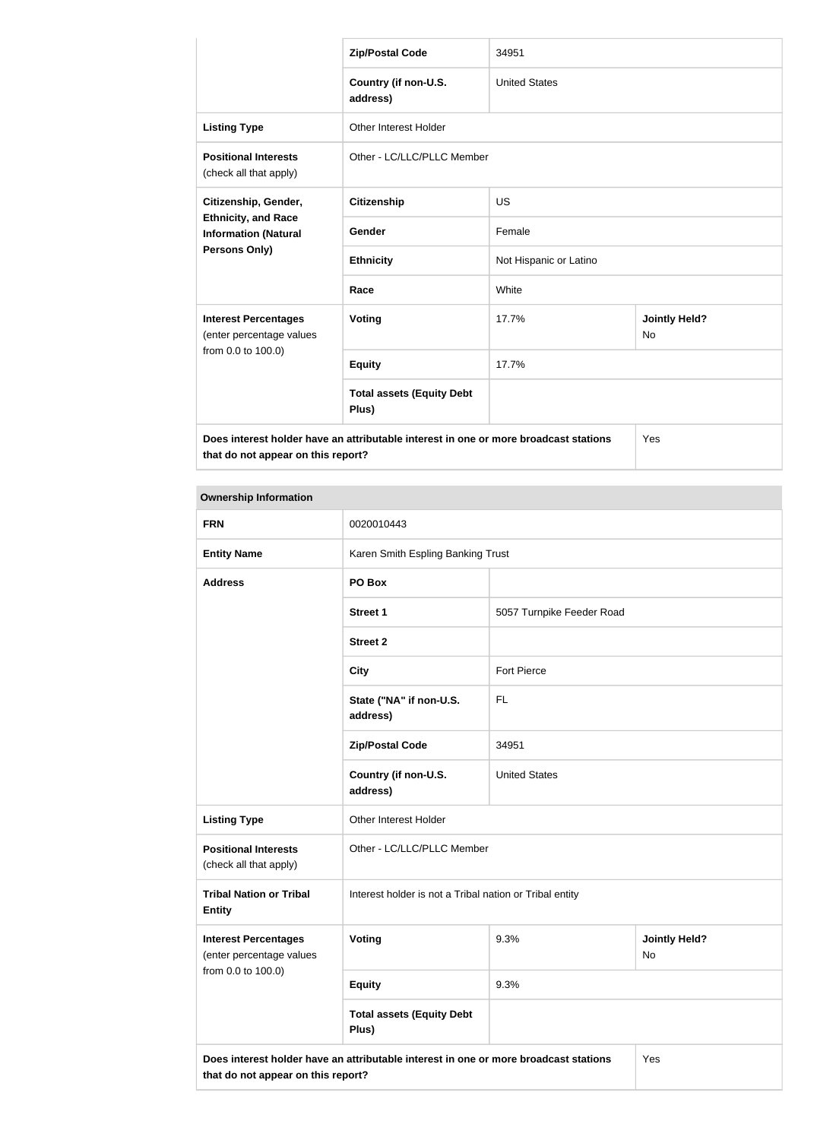|                                                                                      | <b>Zip/Postal Code</b>                    | 34951                  |                                   |  |
|--------------------------------------------------------------------------------------|-------------------------------------------|------------------------|-----------------------------------|--|
|                                                                                      | Country (if non-U.S.<br>address)          | <b>United States</b>   |                                   |  |
| <b>Listing Type</b>                                                                  | Other Interest Holder                     |                        |                                   |  |
| <b>Positional Interests</b><br>(check all that apply)                                | Other - LC/LLC/PLLC Member                |                        |                                   |  |
| Citizenship, Gender,                                                                 | <b>Citizenship</b>                        | <b>US</b>              |                                   |  |
| <b>Ethnicity, and Race</b><br><b>Information (Natural</b><br><b>Persons Only)</b>    | <b>Gender</b>                             | Female                 |                                   |  |
|                                                                                      | <b>Ethnicity</b>                          | Not Hispanic or Latino |                                   |  |
|                                                                                      | Race                                      | White                  |                                   |  |
| <b>Interest Percentages</b><br>(enter percentage values                              | Voting                                    | 17.7%                  | <b>Jointly Held?</b><br><b>No</b> |  |
| from 0.0 to 100.0)                                                                   | <b>Equity</b>                             | 17.7%                  |                                   |  |
|                                                                                      | <b>Total assets (Equity Debt</b><br>Plus) |                        |                                   |  |
| Does interest holder have an attributable interest in one or more broadcast stations |                                           |                        | Yes                               |  |

**that do not appear on this report?**

**that do not appear on this report?**

| <b>Ownership Information</b>                                                                |                                                         |                           |                      |  |
|---------------------------------------------------------------------------------------------|---------------------------------------------------------|---------------------------|----------------------|--|
| <b>FRN</b>                                                                                  | 0020010443                                              |                           |                      |  |
| <b>Entity Name</b>                                                                          | Karen Smith Espling Banking Trust                       |                           |                      |  |
| <b>Address</b>                                                                              | PO Box                                                  |                           |                      |  |
|                                                                                             | <b>Street 1</b>                                         | 5057 Turnpike Feeder Road |                      |  |
|                                                                                             | <b>Street 2</b>                                         |                           |                      |  |
|                                                                                             | <b>City</b>                                             | Fort Pierce               |                      |  |
|                                                                                             | State ("NA" if non-U.S.<br>address)                     | <b>FL</b>                 |                      |  |
|                                                                                             | <b>Zip/Postal Code</b>                                  | 34951                     |                      |  |
|                                                                                             | Country (if non-U.S.<br>address)                        | <b>United States</b>      |                      |  |
| <b>Listing Type</b>                                                                         | Other Interest Holder                                   |                           |                      |  |
| <b>Positional Interests</b><br>(check all that apply)                                       | Other - LC/LLC/PLLC Member                              |                           |                      |  |
| <b>Tribal Nation or Tribal</b><br><b>Entity</b>                                             | Interest holder is not a Tribal nation or Tribal entity |                           |                      |  |
| <b>Interest Percentages</b><br>(enter percentage values                                     | 9.3%<br><b>Voting</b><br>No                             |                           | <b>Jointly Held?</b> |  |
| from 0.0 to 100.0)                                                                          | <b>Equity</b>                                           | 9.3%                      |                      |  |
|                                                                                             | <b>Total assets (Equity Debt</b><br>Plus)               |                           |                      |  |
| Does interest holder have an attributable interest in one or more broadcast stations<br>Yes |                                                         |                           |                      |  |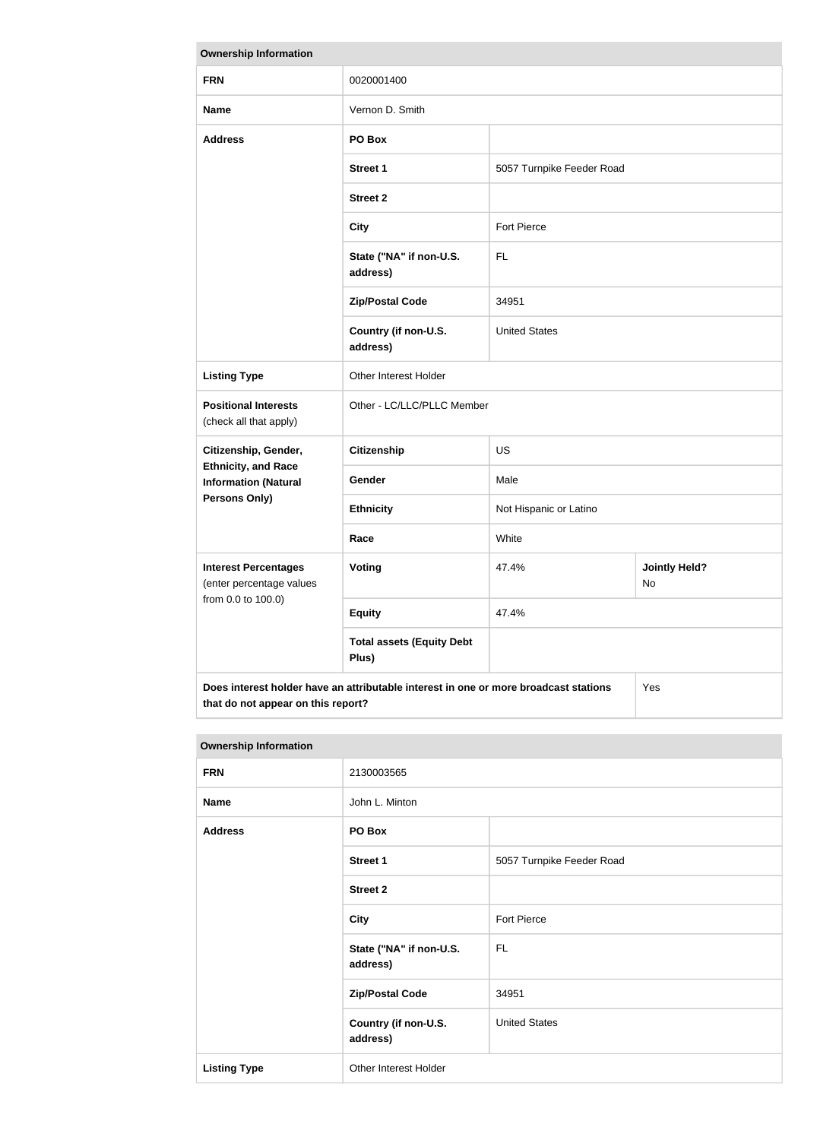| <b>Ownership Information</b>                                                                                                      |                                           |                                     |  |
|-----------------------------------------------------------------------------------------------------------------------------------|-------------------------------------------|-------------------------------------|--|
| <b>FRN</b>                                                                                                                        | 0020001400                                |                                     |  |
| <b>Name</b>                                                                                                                       | Vernon D. Smith                           |                                     |  |
| <b>Address</b>                                                                                                                    | PO Box                                    |                                     |  |
|                                                                                                                                   | <b>Street 1</b>                           | 5057 Turnpike Feeder Road           |  |
|                                                                                                                                   | <b>Street 2</b>                           |                                     |  |
|                                                                                                                                   | <b>City</b>                               | <b>Fort Pierce</b>                  |  |
|                                                                                                                                   | State ("NA" if non-U.S.<br>address)       | <b>FL</b>                           |  |
|                                                                                                                                   | <b>Zip/Postal Code</b>                    | 34951                               |  |
|                                                                                                                                   | Country (if non-U.S.<br>address)          | <b>United States</b>                |  |
| <b>Listing Type</b>                                                                                                               | Other Interest Holder                     |                                     |  |
| <b>Positional Interests</b><br>(check all that apply)                                                                             | Other - LC/LLC/PLLC Member                |                                     |  |
| Citizenship, Gender,                                                                                                              | <b>Citizenship</b>                        | <b>US</b>                           |  |
| <b>Ethnicity, and Race</b><br><b>Information (Natural</b>                                                                         | Gender                                    | Male                                |  |
| <b>Persons Only)</b>                                                                                                              | <b>Ethnicity</b>                          | Not Hispanic or Latino              |  |
|                                                                                                                                   | Race                                      | White                               |  |
| <b>Interest Percentages</b><br>(enter percentage values                                                                           | Voting                                    | 47.4%<br><b>Jointly Held?</b><br>No |  |
| from 0.0 to 100.0)                                                                                                                | <b>Equity</b>                             | 47.4%                               |  |
|                                                                                                                                   | <b>Total assets (Equity Debt</b><br>Plus) |                                     |  |
| Does interest holder have an attributable interest in one or more broadcast stations<br>Yes<br>that do not appear on this report? |                                           |                                     |  |

| 2130003565      |                  |
|-----------------|------------------|
| John L. Minton  |                  |
| PO Box          |                  |
| <b>Street 1</b> | 5057 Turnpike Fe |
| <b>Street 2</b> |                  |
|                 |                  |

| <b>FRN</b>          | 2130003565                          |                           |  |
|---------------------|-------------------------------------|---------------------------|--|
| <b>Name</b>         | John L. Minton                      |                           |  |
| <b>Address</b>      | PO Box                              |                           |  |
|                     | <b>Street 1</b>                     | 5057 Turnpike Feeder Road |  |
|                     | <b>Street 2</b>                     |                           |  |
|                     | <b>City</b>                         | Fort Pierce               |  |
|                     | State ("NA" if non-U.S.<br>address) | FL.                       |  |
|                     | <b>Zip/Postal Code</b>              | 34951                     |  |
|                     | Country (if non-U.S.<br>address)    | <b>United States</b>      |  |
| <b>Listing Type</b> | Other Interest Holder               |                           |  |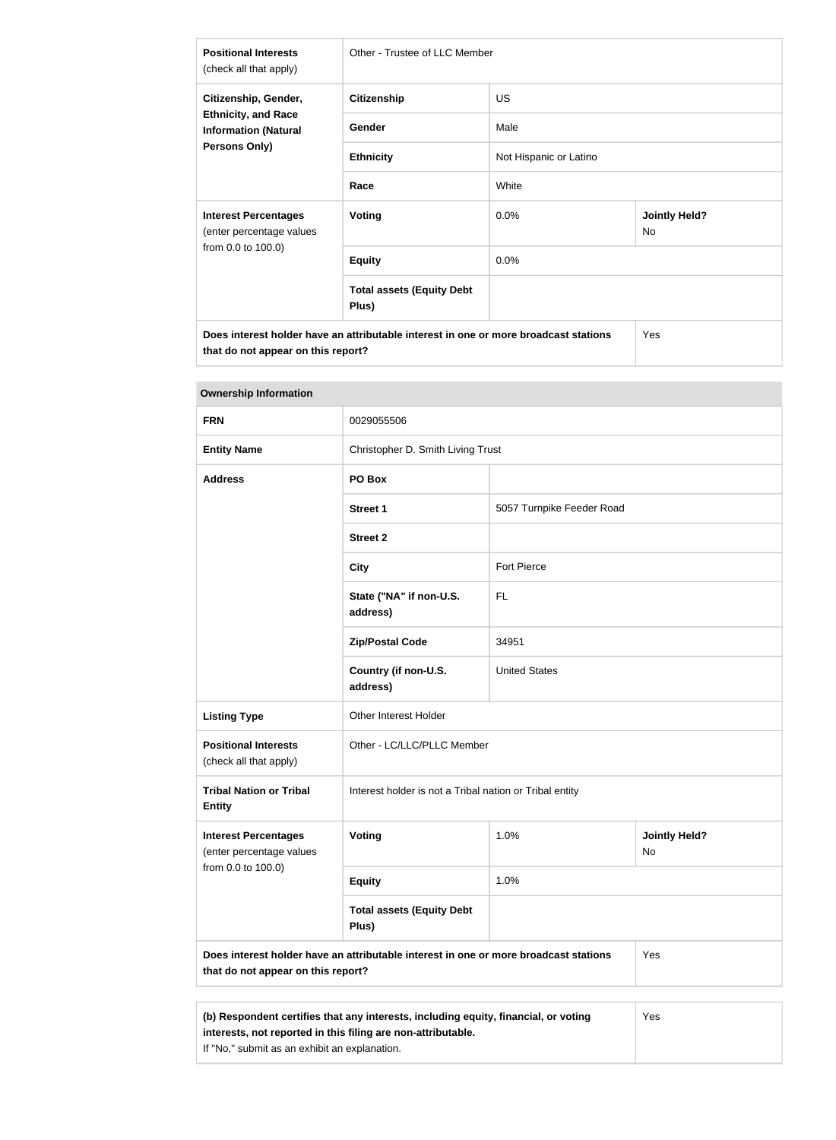| <b>Positional Interests</b><br>(check all that apply)                                              | Other - Trustee of LLC Member                                                        |                        |                            |
|----------------------------------------------------------------------------------------------------|--------------------------------------------------------------------------------------|------------------------|----------------------------|
| Citizenship, Gender,<br><b>Ethnicity, and Race</b><br><b>Information (Natural</b><br>Persons Only) | <b>Citizenship</b>                                                                   | US.                    |                            |
|                                                                                                    | Gender                                                                               | Male                   |                            |
|                                                                                                    | <b>Ethnicity</b>                                                                     | Not Hispanic or Latino |                            |
|                                                                                                    | Race                                                                                 | White                  |                            |
| <b>Interest Percentages</b><br>(enter percentage values                                            | <b>Voting</b>                                                                        | 0.0%                   | <b>Jointly Held?</b><br>No |
| from 0.0 to 100.0)                                                                                 | <b>Equity</b>                                                                        | 0.0%                   |                            |
|                                                                                                    | <b>Total assets (Equity Debt</b><br>Plus)                                            |                        |                            |
| that do not appear on this report?                                                                 | Does interest holder have an attributable interest in one or more broadcast stations |                        | Yes                        |

| <b>Ownership Information</b>                            |                                                                                      |                                   |                            |  |
|---------------------------------------------------------|--------------------------------------------------------------------------------------|-----------------------------------|----------------------------|--|
| <b>FRN</b>                                              | 0029055506                                                                           |                                   |                            |  |
| <b>Entity Name</b>                                      |                                                                                      | Christopher D. Smith Living Trust |                            |  |
| <b>Address</b>                                          | PO Box                                                                               |                                   |                            |  |
|                                                         | <b>Street 1</b>                                                                      | 5057 Turnpike Feeder Road         |                            |  |
|                                                         | <b>Street 2</b>                                                                      |                                   |                            |  |
|                                                         | <b>City</b>                                                                          | Fort Pierce                       |                            |  |
|                                                         | State ("NA" if non-U.S.<br>address)                                                  | FL.                               |                            |  |
|                                                         | <b>Zip/Postal Code</b>                                                               | 34951                             |                            |  |
|                                                         | Country (if non-U.S.<br>address)                                                     | <b>United States</b>              |                            |  |
| <b>Listing Type</b>                                     | <b>Other Interest Holder</b>                                                         |                                   |                            |  |
| <b>Positional Interests</b><br>(check all that apply)   | Other - LC/LLC/PLLC Member                                                           |                                   |                            |  |
| <b>Tribal Nation or Tribal</b><br><b>Entity</b>         | Interest holder is not a Tribal nation or Tribal entity                              |                                   |                            |  |
| <b>Interest Percentages</b><br>(enter percentage values | Voting                                                                               | 1.0%                              | <b>Jointly Held?</b><br>No |  |
| from 0.0 to 100.0)                                      | <b>Equity</b>                                                                        | 1.0%                              |                            |  |
|                                                         | <b>Total assets (Equity Debt</b><br>Plus)                                            |                                   |                            |  |
| that do not appear on this report?                      | Does interest holder have an attributable interest in one or more broadcast stations |                                   | Yes                        |  |
|                                                         |                                                                                      |                                   |                            |  |
|                                                         | (b) Respondent certifies that any interests, including equity, financial, or voting  |                                   | Yes                        |  |

**interests, not reported in this filing are non-attributable.**

If "No," submit as an exhibit an explanation.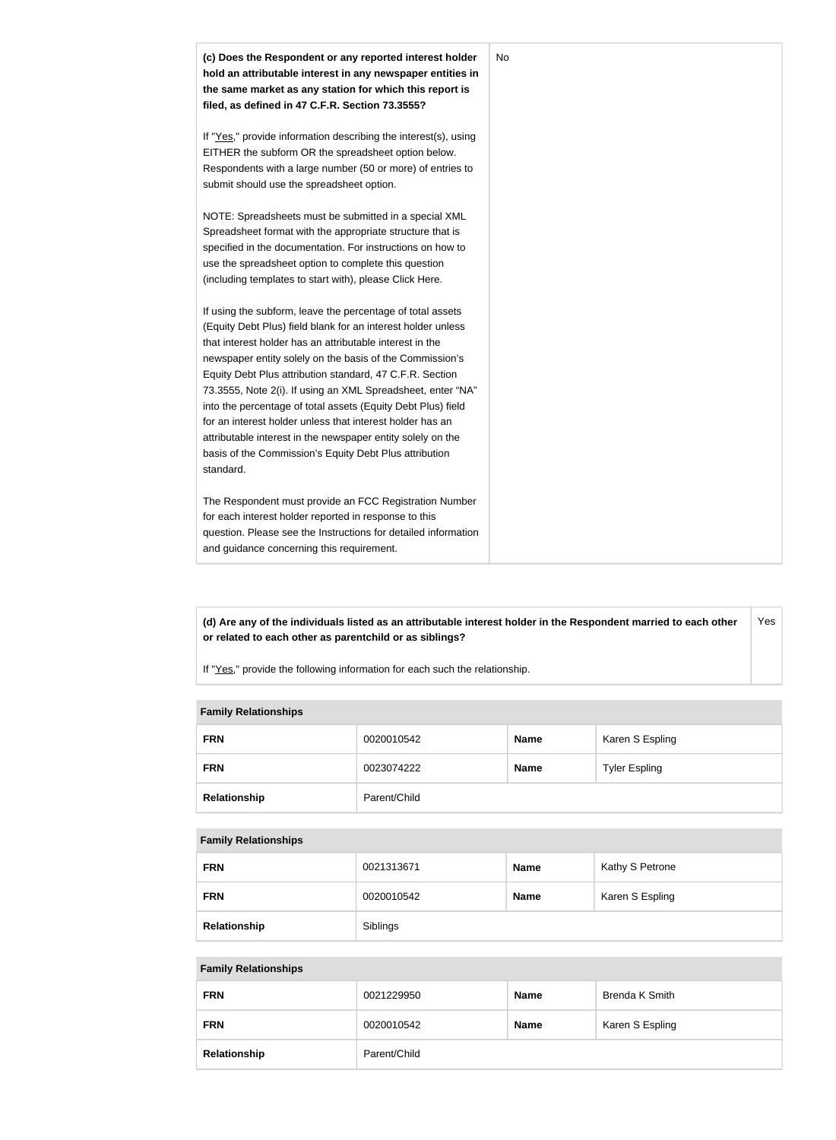

#### **(d) Are any of the individuals listed as an attributable interest holder in the Respondent married to each other or related to each other as parentchild or as siblings?** Yes

If "Yes," provide the following information for each such the relationship.

## **Family Relationships**

| <b>FRN</b>   | 0020010542   | <b>Name</b> | Karen S Espling      |
|--------------|--------------|-------------|----------------------|
| <b>FRN</b>   | 0023074222   | <b>Name</b> | <b>Tyler Espling</b> |
| Relationship | Parent/Child |             |                      |

#### **Family Relationships**

| <b>FRN</b>   | 0021313671 | <b>Name</b> | Kathy S Petrone |
|--------------|------------|-------------|-----------------|
| <b>FRN</b>   | 0020010542 | <b>Name</b> | Karen S Espling |
| Relationship | Siblings   |             |                 |

#### **Family Relationships**

| <b>FRN</b>   | 0021229950   | <b>Name</b> | Brenda K Smith  |
|--------------|--------------|-------------|-----------------|
| <b>FRN</b>   | 0020010542   | <b>Name</b> | Karen S Espling |
| Relationship | Parent/Child |             |                 |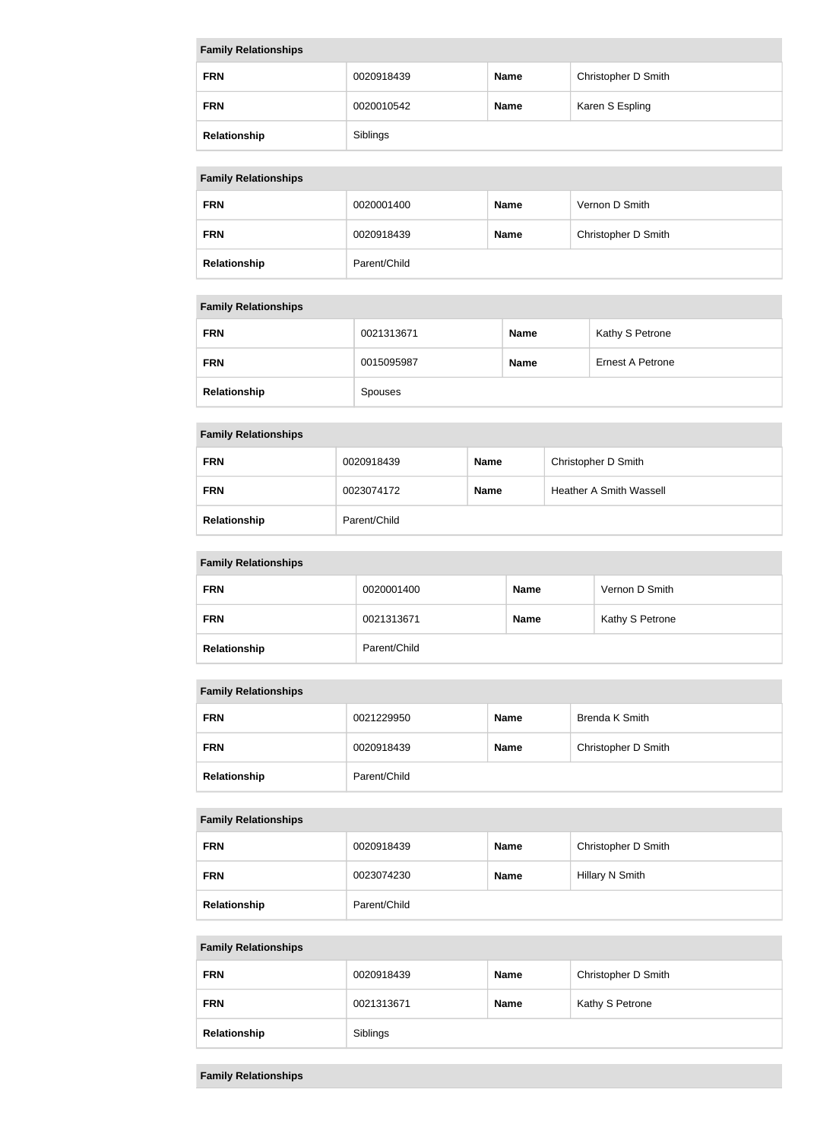| <b>Family Relationships</b> |            |             |                     |
|-----------------------------|------------|-------------|---------------------|
| <b>FRN</b>                  | 0020918439 | <b>Name</b> | Christopher D Smith |
| <b>FRN</b>                  | 0020010542 | <b>Name</b> | Karen S Espling     |
| Relationship                | Siblings   |             |                     |

# **Family Relationships**

| <b>FRN</b>   | 0020001400   | <b>Name</b> | Vernon D Smith      |  |
|--------------|--------------|-------------|---------------------|--|
| <b>FRN</b>   | 0020918439   | <b>Name</b> | Christopher D Smith |  |
| Relationship | Parent/Child |             |                     |  |

# **Family Relationships**

| <b>FRN</b>   | 0021313671 | <b>Name</b> | Kathy S Petrone  |
|--------------|------------|-------------|------------------|
| <b>FRN</b>   | 0015095987 | <b>Name</b> | Ernest A Petrone |
| Relationship | Spouses    |             |                  |

# **Family Relationships**

| <b>FRN</b>   | 0020918439   | <b>Name</b> | Christopher D Smith            |
|--------------|--------------|-------------|--------------------------------|
| <b>FRN</b>   | 0023074172   | <b>Name</b> | <b>Heather A Smith Wassell</b> |
| Relationship | Parent/Child |             |                                |

# **Family Relationships**

| <b>FRN</b>   | 0020001400   | <b>Name</b> | Vernon D Smith  |
|--------------|--------------|-------------|-----------------|
| <b>FRN</b>   | 0021313671   | <b>Name</b> | Kathy S Petrone |
| Relationship | Parent/Child |             |                 |

## **Family Relationships**

| <b>FRN</b>   | 0021229950   | <b>Name</b> | Brenda K Smith      |
|--------------|--------------|-------------|---------------------|
| <b>FRN</b>   | 0020918439   | <b>Name</b> | Christopher D Smith |
| Relationship | Parent/Child |             |                     |

# **Family Relationships**

| <b>FRN</b>   | 0020918439   | <b>Name</b> | Christopher D Smith |  |
|--------------|--------------|-------------|---------------------|--|
| <b>FRN</b>   | 0023074230   | <b>Name</b> | Hillary N Smith     |  |
| Relationship | Parent/Child |             |                     |  |

# **Family Relationships**

| <b>FRN</b>   | 0020918439 | <b>Name</b> | Christopher D Smith |
|--------------|------------|-------------|---------------------|
| <b>FRN</b>   | 0021313671 | Name        | Kathy S Petrone     |
| Relationship | Siblings   |             |                     |

# **Family Relationships**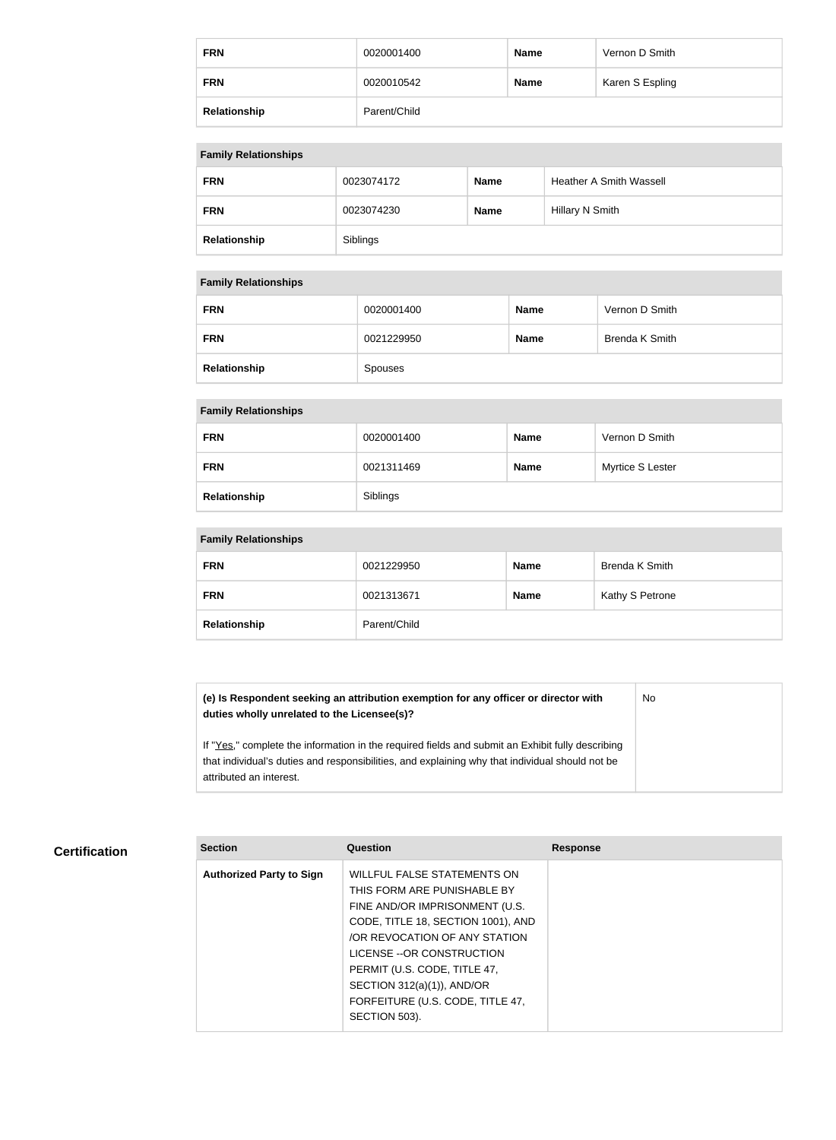| <b>FRN</b>   | 0020001400   | <b>Name</b> | Vernon D Smith  |
|--------------|--------------|-------------|-----------------|
| <b>FRN</b>   | 0020010542   | <b>Name</b> | Karen S Espling |
| Relationship | Parent/Child |             |                 |

## **Family Relationships**

| . .          |            |             |                                |  |
|--------------|------------|-------------|--------------------------------|--|
| <b>FRN</b>   | 0023074172 | <b>Name</b> | <b>Heather A Smith Wassell</b> |  |
| <b>FRN</b>   | 0023074230 | <b>Name</b> | Hillary N Smith                |  |
| Relationship | Siblings   |             |                                |  |

# **Family Relationships**

| <b>FRN</b>   | 0020001400 | <b>Name</b> | Vernon D Smith |
|--------------|------------|-------------|----------------|
| <b>FRN</b>   | 0021229950 | <b>Name</b> | Brenda K Smith |
| Relationship | Spouses    |             |                |

### **Family Relationships**

| <b>FRN</b>   | 0020001400 | <b>Name</b> | Vernon D Smith   |
|--------------|------------|-------------|------------------|
| <b>FRN</b>   | 0021311469 | <b>Name</b> | Myrtice S Lester |
| Relationship | Siblings   |             |                  |

# **Family Relationships**

| <b>FRN</b>   | 0021229950   | <b>Name</b> | Brenda K Smith  |
|--------------|--------------|-------------|-----------------|
| <b>FRN</b>   | 0021313671   | <b>Name</b> | Kathy S Petrone |
| Relationship | Parent/Child |             |                 |

**(e) Is Respondent seeking an attribution exemption for any officer or director with duties wholly unrelated to the Licensee(s)?** No

If "Yes," complete the information in the required fields and submit an Exhibit fully describing that individual's duties and responsibilities, and explaining why that individual should not be attributed an interest.

# **Certification**

| <b>Section</b>                  | Question                           | <b>Response</b> |
|---------------------------------|------------------------------------|-----------------|
| <b>Authorized Party to Sign</b> | WILLFUL FALSE STATEMENTS ON        |                 |
|                                 | THIS FORM ARE PUNISHABLE BY        |                 |
|                                 | FINE AND/OR IMPRISONMENT (U.S.     |                 |
|                                 | CODE, TITLE 18, SECTION 1001), AND |                 |
|                                 | /OR REVOCATION OF ANY STATION      |                 |
|                                 | LICENSE -- OR CONSTRUCTION         |                 |
|                                 | PERMIT (U.S. CODE, TITLE 47,       |                 |
|                                 | SECTION 312(a)(1)), AND/OR         |                 |
|                                 | FORFEITURE (U.S. CODE, TITLE 47,   |                 |
|                                 | SECTION 503).                      |                 |
|                                 |                                    |                 |